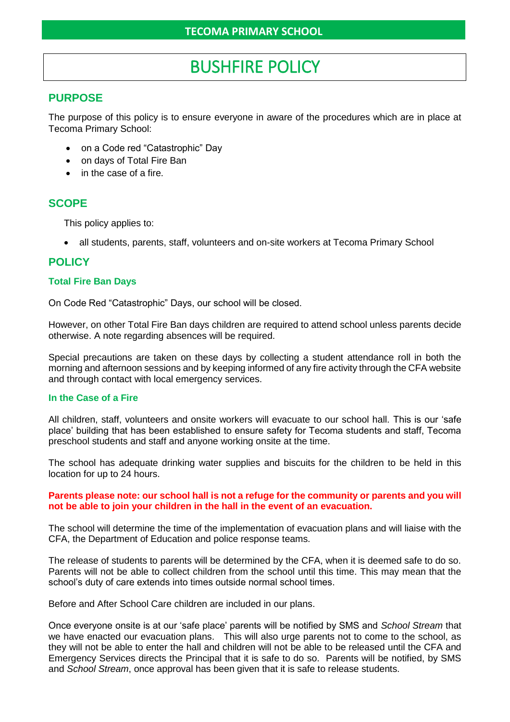# BUSHFIRE POLICY

## **PURPOSE**

The purpose of this policy is to ensure everyone in aware of the procedures which are in place at Tecoma Primary School:

- on a Code red "Catastrophic" Day
- on days of Total Fire Ban
- in the case of a fire.

# **SCOPE**

This policy applies to:

• all students, parents, staff, volunteers and on-site workers at Tecoma Primary School

# **POLICY**

### **Total Fire Ban Days**

On Code Red "Catastrophic" Days, our school will be closed.

However, on other Total Fire Ban days children are required to attend school unless parents decide otherwise. A note regarding absences will be required.

Special precautions are taken on these days by collecting a student attendance roll in both the morning and afternoon sessions and by keeping informed of any fire activity through the CFA website and through contact with local emergency services.

#### **In the Case of a Fire**

All children, staff, volunteers and onsite workers will evacuate to our school hall. This is our 'safe place' building that has been established to ensure safety for Tecoma students and staff, Tecoma preschool students and staff and anyone working onsite at the time.

The school has adequate drinking water supplies and biscuits for the children to be held in this location for up to 24 hours.

#### **Parents please note: our school hall is not a refuge for the community or parents and you will not be able to join your children in the hall in the event of an evacuation.**

The school will determine the time of the implementation of evacuation plans and will liaise with the CFA, the Department of Education and police response teams.

The release of students to parents will be determined by the CFA, when it is deemed safe to do so. Parents will not be able to collect children from the school until this time. This may mean that the school's duty of care extends into times outside normal school times.

Before and After School Care children are included in our plans.

Once everyone onsite is at our 'safe place' parents will be notified by SMS and *School Stream* that we have enacted our evacuation plans. This will also urge parents not to come to the school, as they will not be able to enter the hall and children will not be able to be released until the CFA and Emergency Services directs the Principal that it is safe to do so. Parents will be notified, by SMS and *School Stream*, once approval has been given that it is safe to release students.